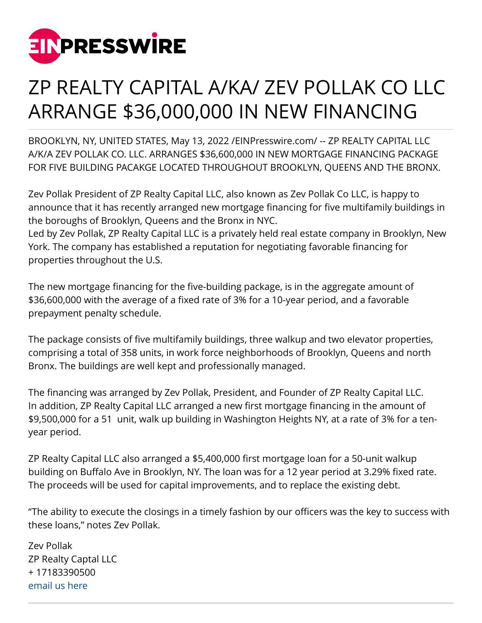

## ZP REALTY CAPITAL A/KA/ ZEV POLLAK CO LLC ARRANGE \$36,000,000 IN NEW FINANCING

BROOKLYN, NY, UNITED STATES, May 13, 2022 /[EINPresswire.com/](http://www.einpresswire.com) -- ZP REALTY CAPITAL LLC A/K/A ZEV POLLAK CO. LLC. ARRANGES \$36,600,000 IN NEW MORTGAGE FINANCING PACKAGE FOR FIVE BUILDING PACAKGE LOCATED THROUGHOUT BROOKLYN, QUEENS AND THE BRONX.

Zev Pollak President of ZP Realty Capital LLC, also known as Zev Pollak Co LLC, is happy to announce that it has recently arranged new mortgage financing for five multifamily buildings in the boroughs of Brooklyn, Queens and the Bronx in NYC.

Led by Zev Pollak, ZP Realty Capital LLC is a privately held real estate company in Brooklyn, New York. The company has established a reputation for negotiating favorable financing for properties throughout the U.S.

The new mortgage financing for the five-building package, is in the aggregate amount of \$36,600,000 with the average of a fixed rate of 3% for a 10-year period, and a favorable prepayment penalty schedule.

The package consists of five multifamily buildings, three walkup and two elevator properties, comprising a total of 358 units, in work force neighborhoods of Brooklyn, Queens and north Bronx. The buildings are well kept and professionally managed.

The financing was arranged by Zev Pollak, President, and Founder of ZP Realty Capital LLC. In addition, ZP Realty Capital LLC arranged a new first mortgage financing in the amount of \$9,500,000 for a 51 unit, walk up building in Washington Heights NY, at a rate of 3% for a tenyear period.

ZP Realty Capital LLC also arranged a \$5,400,000 first mortgage loan for a 50-unit walkup building on Buffalo Ave in Brooklyn, NY. The loan was for a 12 year period at 3.29% fixed rate. The proceeds will be used for capital improvements, and to replace the existing debt.

"The ability to execute the closings in a timely fashion by our officers was the key to success with these loans," notes Zev Pollak.

Zev Pollak ZP Realty Captal LLC + 17183390500 [email us here](http://www.einpresswire.com/contact_author/3484788)